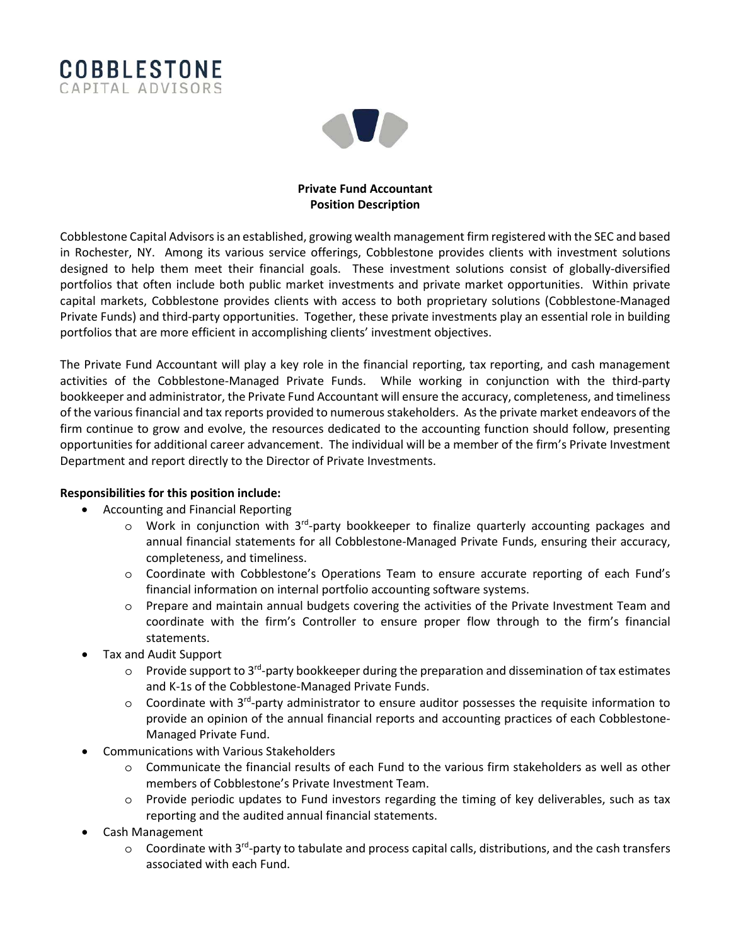



## **Private Fund Accountant Position Description**

Cobblestone Capital Advisors is an established, growing wealth management firm registered with the SEC and based in Rochester, NY. Among its various service offerings, Cobblestone provides clients with investment solutions designed to help them meet their financial goals. These investment solutions consist of globally-diversified portfolios that often include both public market investments and private market opportunities. Within private capital markets, Cobblestone provides clients with access to both proprietary solutions (Cobblestone-Managed Private Funds) and third-party opportunities. Together, these private investments play an essential role in building portfolios that are more efficient in accomplishing clients' investment objectives.

The Private Fund Accountant will play a key role in the financial reporting, tax reporting, and cash management activities of the Cobblestone-Managed Private Funds. While working in conjunction with the third-party bookkeeper and administrator, the Private Fund Accountant will ensure the accuracy, completeness, and timeliness of the various financial and tax reports provided to numerous stakeholders. As the private market endeavors of the firm continue to grow and evolve, the resources dedicated to the accounting function should follow, presenting opportunities for additional career advancement. The individual will be a member of the firm's Private Investment Department and report directly to the Director of Private Investments.

## **Responsibilities for this position include:**

- Accounting and Financial Reporting
	- o Work in conjunction with 3<sup>rd</sup>-party bookkeeper to finalize quarterly accounting packages and annual financial statements for all Cobblestone-Managed Private Funds, ensuring their accuracy, completeness, and timeliness.
	- o Coordinate with Cobblestone's Operations Team to ensure accurate reporting of each Fund's financial information on internal portfolio accounting software systems.
	- o Prepare and maintain annual budgets covering the activities of the Private Investment Team and coordinate with the firm's Controller to ensure proper flow through to the firm's financial statements.
- Tax and Audit Support
	- $\circ$  Provide support to 3<sup>rd</sup>-party bookkeeper during the preparation and dissemination of tax estimates and K-1s of the Cobblestone-Managed Private Funds.
	- $\circ$  Coordinate with 3<sup>rd</sup>-party administrator to ensure auditor possesses the requisite information to provide an opinion of the annual financial reports and accounting practices of each Cobblestone-Managed Private Fund.
- Communications with Various Stakeholders
	- o Communicate the financial results of each Fund to the various firm stakeholders as well as other members of Cobblestone's Private Investment Team.
	- o Provide periodic updates to Fund investors regarding the timing of key deliverables, such as tax reporting and the audited annual financial statements.
- Cash Management
	- o Coordinate with 3<sup>rd</sup>-party to tabulate and process capital calls, distributions, and the cash transfers associated with each Fund.